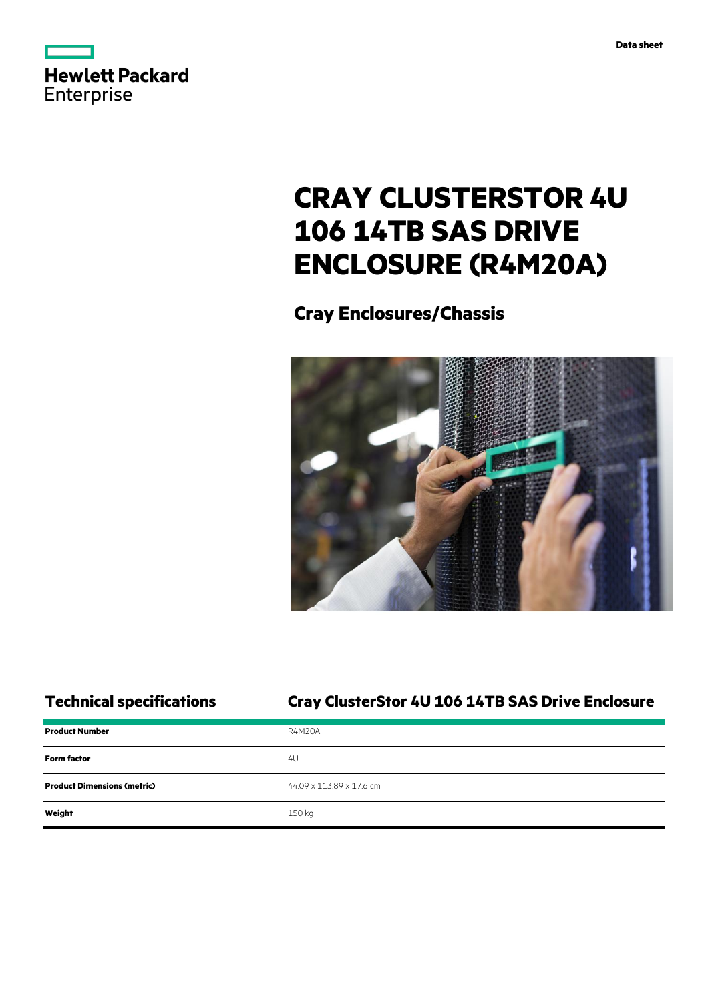



# **CRAY CLUSTERSTOR 4U 106 14TB SAS DRIVE ENCLOSURE (R4M20A)**

**Cray Enclosures/Chassis**



## **Technical specifications Cray ClusterStor 4U 106 14TB SAS Drive Enclosure**

| <b>Product Number</b>              | <b>R4M20A</b>            |
|------------------------------------|--------------------------|
| <b>Form factor</b>                 | 4U                       |
| <b>Product Dimensions (metric)</b> | 44.09 x 113.89 x 17.6 cm |
| Weight                             | 150 kg                   |